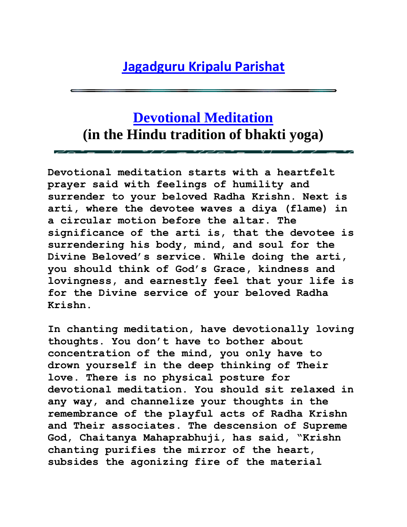## **[Jagadguru Kripalu Parishat](http://www.jkp.org/)**

## **[Devotional Meditation](http://www.barsanadham.org/index-devotional_meditation.html) (in the Hindu tradition of bhakti yoga)**

**Devotional meditation starts with a heartfelt prayer said with feelings of humility and surrender to your beloved Radha Krishn. Next is arti, where the devotee waves a diya (flame) in a circular motion before the altar. The significance of the arti is, that the devotee is surrendering his body, mind, and soul for the Divine Beloved"s service. While doing the arti, you should think of God"s Grace, kindness and lovingness, and earnestly feel that your life is for the Divine service of your beloved Radha Krishn.** 

**In chanting meditation, have devotionally loving thoughts. You don"t have to bother about concentration of the mind, you only have to drown yourself in the deep thinking of Their love. There is no physical posture for devotional meditation. You should sit relaxed in any way, and channelize your thoughts in the remembrance of the playful acts of Radha Krishn and Their associates. The descension of Supreme God, Chaitanya Mahaprabhuji, has said, "Krishn chanting purifies the mirror of the heart, subsides the agonizing fire of the material**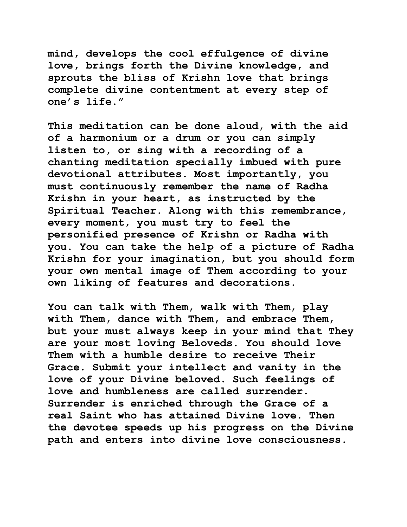**mind, develops the cool effulgence of divine love, brings forth the Divine knowledge, and sprouts the bliss of Krishn love that brings complete divine contentment at every step of one"s life."**

**This meditation can be done aloud, with the aid of a harmonium or a drum or you can simply listen to, or sing with a recording of a chanting meditation specially imbued with pure devotional attributes. Most importantly, you must continuously remember the name of Radha Krishn in your heart, as instructed by the Spiritual Teacher. Along with this remembrance, every moment, you must try to feel the personified presence of Krishn or Radha with you. You can take the help of a picture of Radha Krishn for your imagination, but you should form your own mental image of Them according to your own liking of features and decorations.** 

**You can talk with Them, walk with Them, play with Them, dance with Them, and embrace Them, but your must always keep in your mind that They are your most loving Beloveds. You should love Them with a humble desire to receive Their Grace. Submit your intellect and vanity in the love of your Divine beloved. Such feelings of love and humbleness are called surrender. Surrender is enriched through the Grace of a real Saint who has attained Divine love. Then the devotee speeds up his progress on the Divine path and enters into divine love consciousness.**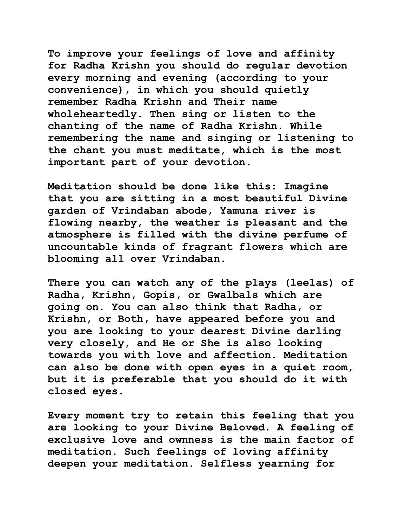**To improve your feelings of love and affinity for Radha Krishn you should do regular devotion every morning and evening (according to your convenience), in which you should quietly remember Radha Krishn and Their name wholeheartedly. Then sing or listen to the chanting of the name of Radha Krishn. While remembering the name and singing or listening to the chant you must meditate, which is the most important part of your devotion.** 

**Meditation should be done like this: Imagine that you are sitting in a most beautiful Divine garden of Vrindaban abode, Yamuna river is flowing nearby, the weather is pleasant and the atmosphere is filled with the divine perfume of uncountable kinds of fragrant flowers which are blooming all over Vrindaban.**

**There you can watch any of the plays (leelas) of Radha, Krishn, Gopis, or Gwalbals which are going on. You can also think that Radha, or Krishn, or Both, have appeared before you and you are looking to your dearest Divine darling very closely, and He or She is also looking towards you with love and affection. Meditation can also be done with open eyes in a quiet room, but it is preferable that you should do it with closed eyes.**

**Every moment try to retain this feeling that you are looking to your Divine Beloved. A feeling of exclusive love and ownness is the main factor of meditation. Such feelings of loving affinity deepen your meditation. Selfless yearning for**